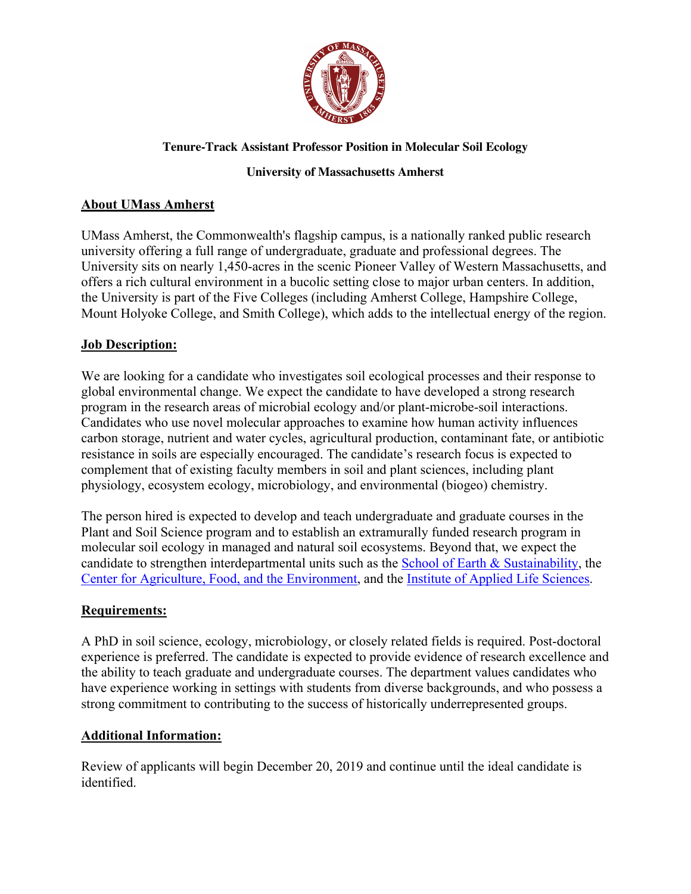

### **Tenure-Track Assistant Professor Position in Molecular Soil Ecology**

#### **University of Massachusetts Amherst**

## **About UMass Amherst**

UMass Amherst, the Commonwealth's flagship campus, is a nationally ranked public research university offering a full range of undergraduate, graduate and professional degrees. The University sits on nearly 1,450-acres in the scenic Pioneer Valley of Western Massachusetts, and offers a rich cultural environment in a bucolic setting close to major urban centers. In addition, the University is part of the Five Colleges (including Amherst College, Hampshire College, Mount Holyoke College, and Smith College), which adds to the intellectual energy of the region.

# **Job Description:**

We are looking for a candidate who investigates soil ecological processes and their response to global environmental change. We expect the candidate to have developed a strong research program in the research areas of microbial ecology and/or plant-microbe-soil interactions. Candidates who use novel molecular approaches to examine how human activity influences carbon storage, nutrient and water cycles, agricultural production, contaminant fate, or antibiotic resistance in soils are especially encouraged. The candidate's research focus is expected to complement that of existing faculty members in soil and plant sciences, including plant physiology, ecosystem ecology, microbiology, and environmental (biogeo) chemistry.

The person hired is expected to develop and teach undergraduate and graduate courses in the Plant and Soil Science program and to establish an extramurally funded research program in molecular soil ecology in managed and natural soil ecosystems. Beyond that, we expect the candidate to strengthen interdepartmental units such as the School of Earth & Sustainability, the Center for Agriculture, Food, and the Environment, and the Institute of Applied Life Sciences.

#### **Requirements:**

A PhD in soil science, ecology, microbiology, or closely related fields is required. Post-doctoral experience is preferred. The candidate is expected to provide evidence of research excellence and the ability to teach graduate and undergraduate courses. The department values candidates who have experience working in settings with students from diverse backgrounds, and who possess a strong commitment to contributing to the success of historically underrepresented groups.

# **Additional Information:**

Review of applicants will begin December 20, 2019 and continue until the ideal candidate is identified.